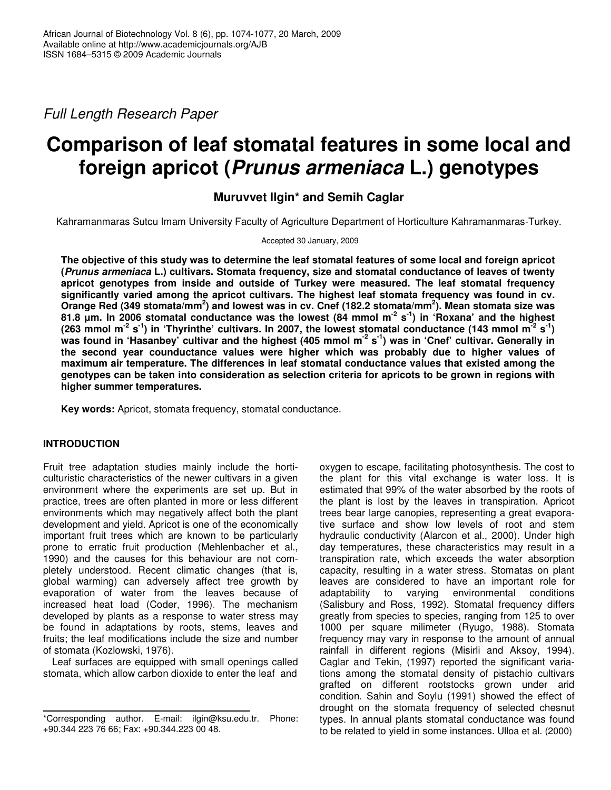*Full Length Research Paper*

# **Comparison of leaf stomatal features in some local and foreign apricot (***Prunus armeniaca* **L.) genotypes**

## **Muruvvet Ilgin\* and Semih Caglar**

Kahramanmaras Sutcu Imam University Faculty of Agriculture Department of Horticulture Kahramanmaras-Turkey.

#### Accepted 30 January, 2009

The objective of this study was to determine the leaf stomatal features of some local and foreign apricot **(***Prunus armeniaca* **L.) cultivars. Stomata frequency, size and stomatal conductance of leaves of twenty apricot genotypes from inside and outside of Turkey were measured. The leaf stomatal frequency significantly varied among the apricot cultivars. The highest leaf stomata frequency was found in cv.** Orange Red (349 stomata/mm<sup>2</sup>) and lowest was in cv. Cnef (182.2 stomata/mm<sup>2</sup>). Mean stomata size was 81.8 um. In 2006 stomatal conductance was the lowest (84 mmol m<sup>-2</sup> s<sup>-1</sup>) in 'Roxana' and the highest (263 mmol m<sup>-2</sup> s<sup>-1</sup>) in 'Thyrinthe' cultivars. In 2007, the lowest stomatal conductance (143 mmol m<sup>-2</sup> s<sup>-1</sup>) was found in 'Hasanbey' cultivar and the highest (405 mmol m<sup>-2</sup> s<sup>-1</sup>) was in 'Cnef' cultivar. Generally in **the second year counductance values were higher which was probably due to higher values of maximum air temperature. The differences in leaf stomatal conductance values that existed among the genotypes can be taken into consideration as selection criteria for apricots to be grown in regions with higher summer temperatures.**

**Key words:** Apricot, stomata frequency, stomatal conductance.

## **INTRODUCTION**

Fruit tree adaptation studies mainly include the horticulturistic characteristics of the newer cultivars in a given environment where the experiments are set up. But in practice, trees are often planted in more or less different environments which may negatively affect both the plant development and yield. Apricot is one of the economically important fruit trees which are known to be particularly prone to erratic fruit production (Mehlenbacher et al., 1990) and the causes for this behaviour are not completely understood. Recent climatic changes (that is, global warming) can adversely affect tree growth by evaporation of water from the leaves because of increased heat load (Coder, 1996). The mechanism developed by plants as a response to water stress may be found in adaptations by roots, stems, leaves and fruits; the leaf modifications include the size and number of stomata (Kozlowski, 1976).

Leaf surfaces are equipped with small openings called stomata, which allow carbon dioxide to enter the leaf and

oxygen to escape, facilitating photosynthesis. The cost to the plant for this vital exchange is water loss. It is estimated that 99% of the water absorbed by the roots of the plant is lost by the leaves in transpiration. Apricot trees bear large canopies, representing a great evaporative surface and show low levels of root and stem hydraulic conductivity (Alarcon et al., 2000). Under high day temperatures, these characteristics may result in a transpiration rate, which exceeds the water absorption capacity, resulting in a water stress. Stomatas on plant leaves are considered to have an important role for adaptability to varying environmental conditions (Salisbury and Ross, 1992). Stomatal frequency differs greatly from species to species, ranging from 125 to over 1000 per square milimeter (Ryugo, 1988). Stomata frequency may vary in response to the amount of annual rainfall in different regions (Misirli and Aksoy, 1994). Caglar and Tekin, (1997) reported the significant variations among the stomatal density of pistachio cultivars grafted on different rootstocks grown under arid condition. Sahin and Soylu (1991) showed the effect of drought on the stomata frequency of selected chesnut types. In annual plants stomatal conductance was found to be related to yield in some instances. Ulloa et al. (2000)

<sup>\*</sup>Corresponding author. E-mail: ilgin@ksu.edu.tr. Phone: +90.344 223 76 66; Fax: +90.344.223 00 48.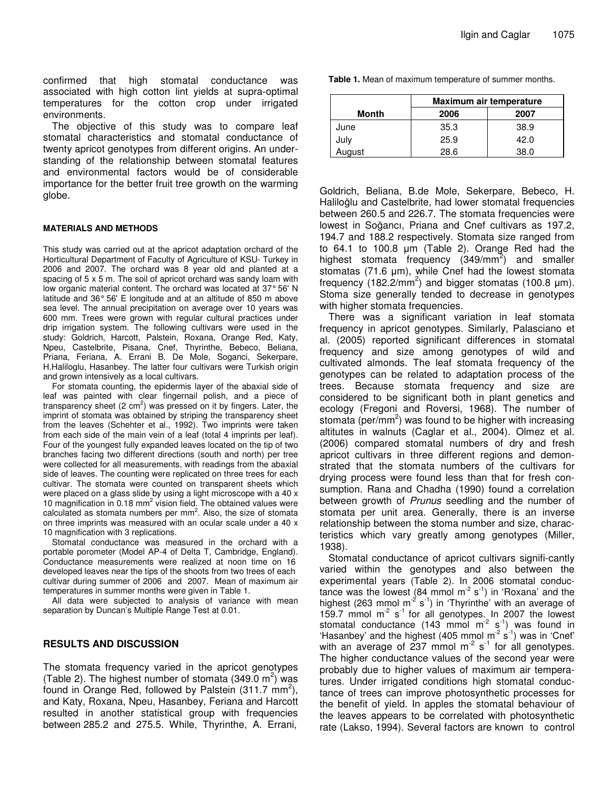confirmed that high stomatal conductance was associated with high cotton lint yields at supra-optimal temperatures for the cotton crop under irrigated environments.

The objective of this study was to compare leaf stomatal characteristics and stomatal conductance of twenty apricot genotypes from different origins. An understanding of the relationship between stomatal features and environmental factors would be of considerable importance for the better fruit tree growth on the warming globe.

## **MATERIALS AND METHODS**

This study was carried out at the apricot adaptation orchard of the Horticultural Department of Faculty of Agriculture of KSU- Turkey in 2006 and 2007. The orchard was 8 year old and planted at a spacing of 5 x 5 m. The soil of apricot orchard was sandy loam with low organic material content. The orchard was located at 37°56' N latitude and 36° 56' E longitude and at an altitude of 850 m above sea level. The annual precipitation on average over 10 years was 600 mm. Trees were grown with regular cultural practices under drip irrigation system. The following cultivars were used in the study: Goldrich, Harcott, Palstein, Roxana, Orange Red, Katy, Npeu, Castelbrite, Pisana, Cnef, Thyrinthe, Bebeco, Beliana, Priana, Feriana, A. Errani B. De Mole, Soganci, Sekerpare, H.Haliloglu, Hasanbey. The latter four cultivars were Turkish origin and grown intensively as a local cultivars.

For stomata counting, the epidermis layer of the abaxial side of leaf was painted with clear fingernail polish, and a piece of transparency sheet (2 cm<sup>2</sup>) was pressed on it by fingers. Later, the imprint of stomata was obtained by striping the transparency sheet from the leaves (Schehter et al*.*, 1992). Two imprints were taken from each side of the main vein of a leaf (total 4 imprints per leaf). Four of the youngest fully expanded leaves located on the tip of two branches facing two different directions (south and north) per tree were collected for all measurements, with readings from the abaxial side of leaves. The counting were replicated on three trees for each cultivar. The stomata were counted on transparent sheets which were placed on a glass slide by using a light microscope with a 40 x 10 magnification in 0.18 mm<sup>2</sup> vision field. The obtained values were calculated as stomata numbers per mm<sup>2</sup>. Also, the size of stomata on three imprints was measured with an ocular scale under a 40 x 10 magnification with 3 replications.

Stomatal conductance was measured in the orchard with a portable porometer (Model AP-4 of Delta T, Cambridge, England). Conductance measurements were realized at noon time on 16 developed leaves near the tips of the shoots from two trees of each cultivar during summer of 2006 and 2007. Mean of maximum air temperatures in summer months were given in Table 1.

All data were subjected to analysis of variance with mean separation by Duncan's Multiple Range Test at 0.01.

## **RESULTS AND DISCUSSION**

The stomata frequency varied in the apricot genotypes (Table 2). The highest number of stomata  $(349.0 \text{ m}^2)$  was found in Orange Red, followed by Palstein (311.7 mm<sup>2</sup>), and Katy, Roxana, Npeu, Hasanbey, Feriana and Harcott resulted in another statistical group with frequencies between 285.2 and 275.5. While, Thyrinthe, A. Errani,

|             | Maximum air temperature |      |  |
|-------------|-------------------------|------|--|
| Month       | 2006                    | 2007 |  |
| June        | 35.3                    | 38.9 |  |
| July        | 25.9                    | 42.0 |  |
| .<br>August | 28.6                    | 38.0 |  |

Goldrich, Beliana, B.de Mole, Sekerpare, Bebeco, H. Haliloğlu and Castelbrite, had lower stomatal frequencies between 260.5 and 226.7. The stomata frequencies were lowest in Soğancı, Priana and Cnef cultivars as 197.2, 194.7 and 188.2 respectively. Stomata size ranged from to 64.1 to 100.8 µm (Table 2). Orange Red had the highest stomata frequency (349/mm<sup>2</sup>) and smaller stomatas (71.6 µm), while Cnef had the lowest stomata frequency (182.2/mm<sup>2</sup>) and bigger stomatas (100.8  $\mu$ m). Stoma size generally tended to decrease in genotypes with higher stomata frequencies.

There was a significant variation in leaf stomata frequency in apricot genotypes. Similarly, Palasciano et al. (2005) reported significant differences in stomatal frequency and size among genotypes of wild and cultivated almonds. The leaf stomata frequency of the genotypes can be related to adaptation process of the trees. Because stomata frequency and size are considered to be significant both in plant genetics and ecology (Fregoni and Roversi, 1968). The number of stomata (per/mm<sup>2</sup>) was found to be higher with increasing altitutes in walnuts (Caglar et al., 2004). Olmez et al. (2006) compared stomatal numbers of dry and fresh apricot cultivars in three different regions and demonstrated that the stomata numbers of the cultivars for drying process were found less than that for fresh consumption. Rana and Chadha (1990) found a correlation between growth of *Prunus* seedling and the number of stomata per unit area. Generally, there is an inverse relationship between the stoma number and size, characteristics which vary greatly among genotypes (Miller, 1938).

Stomatal conductance of apricot cultivars signifi-cantly varied within the genotypes and also between the experimental years (Table 2). In 2006 stomatal conductance was the lowest (84 mmol m<sup>-2</sup> s<sup>-1</sup>) in 'Roxana' and the highest (263 mmol m<sup>-2</sup> s<sup>-1</sup>) in 'Thyrinthe' with an average of 159.7 mmol  $m^2 s^{-1}$  for all genotypes. In 2007 the lowest stomatal conductance (143 mmol m<sup>-2</sup> s<sup>-1</sup>) was found in 'Hasanbey' and the highest (405 mmol  $m^2$  s<sup>-1</sup>) was in 'Cnef' with an average of 237 mmol  $m^2$  s<sup>-1</sup> for all genotypes. The higher conductance values of the second year were probably due to higher values of maximum air temperatures. Under irrigated conditions high stomatal conductance of trees can improve photosynthetic processes for the benefit of yield. In apples the stomatal behaviour of the leaves appears to be correlated with photosynthetic rate (Lakso, 1994). Several factors are known to control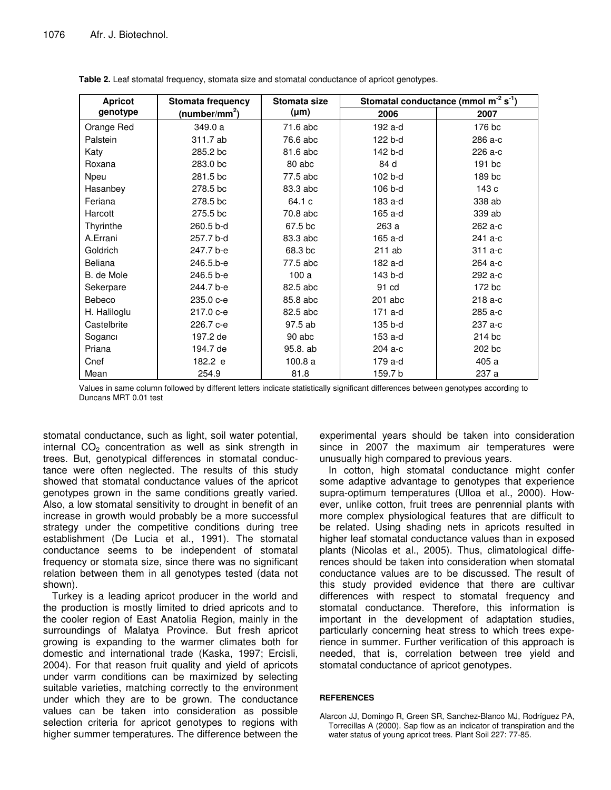| <b>Apricot</b> | <b>Stomata frequency</b>  | Stomata size | Stomatal conductance (mmol m <sup>-2</sup> s <sup>-1</sup> ) |         |
|----------------|---------------------------|--------------|--------------------------------------------------------------|---------|
| genotype       | (number/mm <sup>2</sup> ) | $(\mu m)$    | 2006                                                         | 2007    |
| Orange Red     | 349.0 a                   | 71.6 abc     | 192 a-d                                                      | 176 bc  |
| Palstein       | 311.7 ab                  | 76.6 abc     | 122 b-d                                                      | 286 a-c |
| Katy           | 285.2 bc                  | 81.6 abc     | 142 b-d                                                      | 226 a-c |
| Roxana         | 283.0 bc                  | 80 abc       | 84 d                                                         | 191 bc  |
| Npeu           | 281.5 bc                  | 77.5 abc     | 102 b-d                                                      | 189 bc  |
| Hasanbey       | 278.5 bc                  | 83.3 abc     | 106 b-d                                                      | 143 c   |
| Feriana        | 278.5 bc                  | 64.1 c       | 183 a-d                                                      | 338 ab  |
| Harcott        | 275.5 bc                  | 70.8 abc     | 165 a-d                                                      | 339 ab  |
| Thyrinthe      | 260.5 b-d                 | 67.5 bc      | 263 a                                                        | 262 a-c |
| A.Errani       | 257.7 b-d                 | 83.3 abc     | 165 a-d                                                      | 241 a-c |
| Goldrich       | 247.7 b-e                 | 68.3 bc      | 211 ab                                                       | 311 a-c |
| <b>Beliana</b> | 246.5.b-e                 | 77.5 abc     | 182 a-d                                                      | 264 a-c |
| B. de Mole     | 246.5 b-e                 | 100a         | 143 b-d                                                      | 292 a-c |
| Sekerpare      | 244.7 b-e                 | 82.5 abc     | 91 cd                                                        | 172 bc  |
| Bebeco         | 235.0 c-e                 | 85.8 abc     | $201$ abc                                                    | 218 a-c |
| H. Haliloglu   | 217.0 c-e                 | 82.5 abc     | 171 a-d                                                      | 285 a-c |
| Castelbrite    | 226.7 c-e                 | 97.5 ab      | 135 b-d                                                      | 237 a-c |
| Soganci        | 197.2 de                  | 90 abc       | 153 a-d                                                      | 214 bc  |
| Priana         | 194.7 de                  | 95.8. ab     | 204 a-c                                                      | 202 bc  |
| Cnef           | 182.2 e                   | 100.8a       | 179 a-d                                                      | 405 a   |
| Mean           | 254.9                     | 81.8         | 159.7 b                                                      | 237 a   |

**Table 2.** Leaf stomatal frequency, stomata size and stomatal conductance of apricot genotypes.

Values in same column followed by different letters indicate statistically significant differences between genotypes according to Duncans MRT 0.01 test

stomatal conductance, such as light, soil water potential, internal  $CO<sub>2</sub>$  concentration as well as sink strength in trees. But, genotypical differences in stomatal conductance were often neglected. The results of this study showed that stomatal conductance values of the apricot genotypes grown in the same conditions greatly varied. Also, a low stomatal sensitivity to drought in benefit of an increase in growth would probably be a more successful strategy under the competitive conditions during tree establishment (De Lucia et al., 1991). The stomatal conductance seems to be independent of stomatal frequency or stomata size, since there was no significant relation between them in all genotypes tested (data not shown).

Turkey is a leading apricot producer in the world and the production is mostly limited to dried apricots and to the cooler region of East Anatolia Region, mainly in the surroundings of Malatya Province. But fresh apricot growing is expanding to the warmer climates both for domestic and international trade (Kaska, 1997; Ercisli, 2004). For that reason fruit quality and yield of apricots under varm conditions can be maximized by selecting suitable varieties, matching correctly to the environment under which they are to be grown. The conductance values can be taken into consideration as possible selection criteria for apricot genotypes to regions with higher summer temperatures. The difference between the

experimental years should be taken into consideration since in 2007 the maximum air temperatures were unusually high compared to previous years.

In cotton, high stomatal conductance might confer some adaptive advantage to genotypes that experience supra-optimum temperatures (Ulloa et al., 2000). However, unlike cotton, fruit trees are penrennial plants with more complex physiological features that are difficult to be related. Using shading nets in apricots resulted in higher leaf stomatal conductance values than in exposed plants (Nicolas et al., 2005). Thus, climatological differences should be taken into consideration when stomatal conductance values are to be discussed. The result of this study provided evidence that there are cultivar differences with respect to stomatal frequency and stomatal conductance. Therefore, this information is important in the development of adaptation studies, particularly concerning heat stress to which trees experience in summer. Further verification of this approach is needed, that is, correlation between tree yield and stomatal conductance of apricot genotypes.

## **REFERENCES**

Alarcon JJ, Domingo R, Green SR, Sanchez-Blanco MJ, Rodríguez PA, Torrecillas A (2000). Sap flow as an indicator of transpiration and the water status of young apricot trees. Plant Soil 227: 77-85.